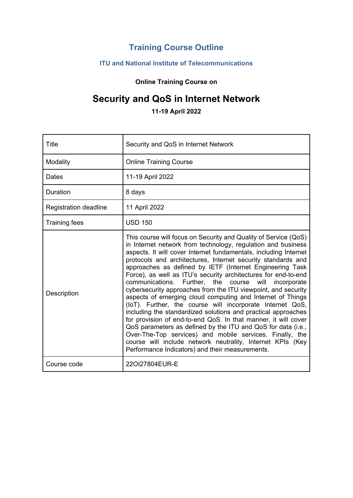## **Training Course Outline**

## **ITU and National Institute of Telecommunications**

**Online Training Course on**

# **Security and QoS in Internet Network**

**11-19 April 2022**

| Title                        | Security and QoS in Internet Network                                                                                                                                                                                                                                                                                                                                                                                                                                                                                                                                                                                                                                                                                                                                                                                                                                                                                                                                                                                                              |  |
|------------------------------|---------------------------------------------------------------------------------------------------------------------------------------------------------------------------------------------------------------------------------------------------------------------------------------------------------------------------------------------------------------------------------------------------------------------------------------------------------------------------------------------------------------------------------------------------------------------------------------------------------------------------------------------------------------------------------------------------------------------------------------------------------------------------------------------------------------------------------------------------------------------------------------------------------------------------------------------------------------------------------------------------------------------------------------------------|--|
| Modality                     | <b>Online Training Course</b>                                                                                                                                                                                                                                                                                                                                                                                                                                                                                                                                                                                                                                                                                                                                                                                                                                                                                                                                                                                                                     |  |
| Dates                        | 11-19 April 2022                                                                                                                                                                                                                                                                                                                                                                                                                                                                                                                                                                                                                                                                                                                                                                                                                                                                                                                                                                                                                                  |  |
| Duration                     | 8 days                                                                                                                                                                                                                                                                                                                                                                                                                                                                                                                                                                                                                                                                                                                                                                                                                                                                                                                                                                                                                                            |  |
| <b>Registration deadline</b> | 11 April 2022                                                                                                                                                                                                                                                                                                                                                                                                                                                                                                                                                                                                                                                                                                                                                                                                                                                                                                                                                                                                                                     |  |
| <b>Training fees</b>         | <b>USD 150</b>                                                                                                                                                                                                                                                                                                                                                                                                                                                                                                                                                                                                                                                                                                                                                                                                                                                                                                                                                                                                                                    |  |
| Description                  | This course will focus on Security and Quality of Service (QoS)<br>in Internet network from technology, regulation and business<br>aspects. It will cover Internet fundamentals, including Internet<br>protocols and architectures, Internet security standards and<br>approaches as defined by IETF (Internet Engineering Task<br>Force), as well as ITU's security architectures for end-to-end<br>communications.<br>Further, the<br>course<br>will<br>incorporate<br>cybersecurity approaches from the ITU viewpoint, and security<br>aspects of emerging cloud computing and Internet of Things<br>(IoT). Further, the course will incorporate Internet QoS,<br>including the standardized solutions and practical approaches<br>for provision of end-to-end QoS. In that manner, it will cover<br>QoS parameters as defined by the ITU and QoS for data (i.e.,<br>Over-The-Top services) and mobile services. Finally, the<br>course will include network neutrality, Internet KPIs (Key<br>Performance Indicators) and their measurements. |  |
| Course code                  | 220127804EUR-E                                                                                                                                                                                                                                                                                                                                                                                                                                                                                                                                                                                                                                                                                                                                                                                                                                                                                                                                                                                                                                    |  |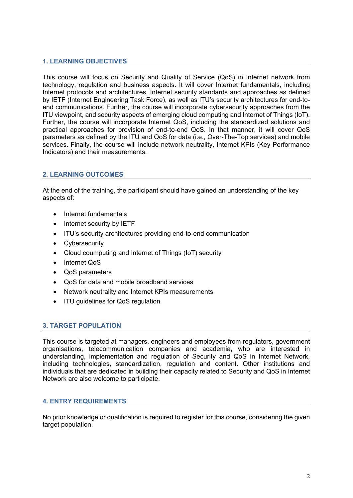## **1. LEARNING OBJECTIVES**

This course will focus on Security and Quality of Service (QoS) in Internet network from technology, regulation and business aspects. It will cover Internet fundamentals, including Internet protocols and architectures, Internet security standards and approaches as defined by IETF (Internet Engineering Task Force), as well as ITU's security architectures for end-toend communications. Further, the course will incorporate cybersecurity approaches from the ITU viewpoint, and security aspects of emerging cloud computing and Internet of Things (IoT). Further, the course will incorporate Internet QoS, including the standardized solutions and practical approaches for provision of end-to-end QoS. In that manner, it will cover QoS parameters as defined by the ITU and QoS for data (i.e., Over-The-Top services) and mobile services. Finally, the course will include network neutrality, Internet KPIs (Key Performance Indicators) and their measurements.

#### **2. LEARNING OUTCOMES**

At the end of the training, the participant should have gained an understanding of the key aspects of:

- Internet fundamentals
- Internet security by IETF
- ITU's security architectures providing end-to-end communication
- Cybersecurity
- Cloud coumputing and Internet of Things (IoT) security
- Internet QoS
- QoS parameters
- QoS for data and mobile broadband services
- Network neutrality and Internet KPIs measurements
- ITU guidelines for QoS regulation

#### **3. TARGET POPULATION**

This course is targeted at managers, engineers and employees from regulators, government organisations, telecommunication companies and academia, who are interested in understanding, implementation and regulation of Security and QoS in Internet Network, including technologies, standardization, regulation and content. Other institutions and individuals that are dedicated in building their capacity related to Security and QoS in Internet Network are also welcome to participate.

#### **4. ENTRY REQUIREMENTS**

No prior knowledge or qualification is required to register for this course, considering the given target population.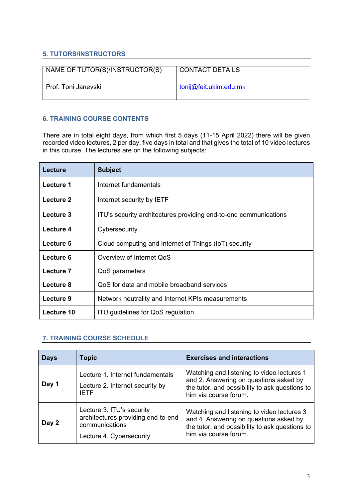## **5. TUTORS/INSTRUCTORS**

| NAME OF TUTOR(S)/INSTRUCTOR(S) | <b>CONTACT DETAILS</b> |
|--------------------------------|------------------------|
| Prof. Toni Janevski            | tonij@feit.ukim.edu.mk |

## **6. TRAINING COURSE CONTENTS**

There are in total eight days, from which first 5 days (11-15 April 2022) there will be given recorded video lectures, 2 per day, five days in total and that gives the total of 10 video lectures in this course. The lectures are on the following subjects:

| <b>Lecture</b> | <b>Subject</b>                                                   |
|----------------|------------------------------------------------------------------|
| Lecture 1      | Internet fundamentals                                            |
| Lecture 2      | Internet security by IETF                                        |
| Lecture 3      | ITU's security architectures providing end-to-end communications |
| Lecture 4      | Cybersecurity                                                    |
| Lecture 5      | Cloud computing and Internet of Things (IoT) security            |
| Lecture 6      | Overview of Internet QoS                                         |
| Lecture 7      | QoS parameters                                                   |
| Lecture 8      | QoS for data and mobile broadband services                       |
| Lecture 9      | Network neutrality and Internet KPIs measurements                |
| Lecture 10     | <b>ITU guidelines for QoS regulation</b>                         |

## **7. TRAINING COURSE SCHEDULE**

| <b>Days</b> | <b>Topic</b>                                                                                                  | <b>Exercises and interactions</b>                                                                                                                               |
|-------------|---------------------------------------------------------------------------------------------------------------|-----------------------------------------------------------------------------------------------------------------------------------------------------------------|
| Day 1       | Lecture 1. Internet fundamentals<br>Lecture 2. Internet security by<br><b>IETF</b>                            | Watching and listening to video lectures 1<br>and 2. Answering on questions asked by<br>the tutor, and possibility to ask questions to<br>him via course forum. |
| Day 2       | Lecture 3. ITU's security<br>architectures providing end-to-end<br>communications<br>Lecture 4. Cybersecurity | Watching and listening to video lectures 3<br>and 4. Answering on questions asked by<br>the tutor, and possibility to ask questions to<br>him via course forum. |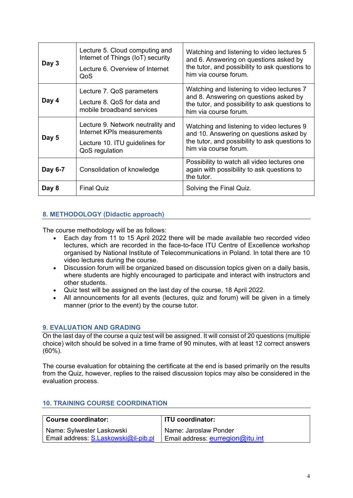| Day 3   | Lecture 5. Cloud computing and<br>Internet of Things (IoT) security<br>Lecture 6. Overview of Internet<br>QoS       | Watching and listening to video lectures 5<br>and 6. Answering on questions asked by<br>the tutor, and possibility to ask questions to<br>him via course forum.  |
|---------|---------------------------------------------------------------------------------------------------------------------|------------------------------------------------------------------------------------------------------------------------------------------------------------------|
| Day 4   | Lecture 7. QoS parameters<br>Lecture 8. QoS for data and<br>mobile broadband services                               | Watching and listening to video lectures 7<br>and 8. Answering on questions asked by<br>the tutor, and possibility to ask questions to<br>him via course forum.  |
| Day 5   | Lecture 9. Network neutrality and<br>Internet KPIs measurements<br>Lecture 10. ITU guidelines for<br>QoS regulation | Watching and listening to video lectures 9<br>and 10. Answering on questions asked by<br>the tutor, and possibility to ask questions to<br>him via course forum. |
| Day 6-7 | Consolidation of knowledge                                                                                          | Possibility to watch all video lectures one<br>again with possibility to ask questions to<br>the tutor.                                                          |
| Day 8   | <b>Final Quiz</b>                                                                                                   | Solving the Final Quiz.                                                                                                                                          |

## **8. METHODOLOGY (Didactic approach)**

The course methodology will be as follows:

- Each day from 11 to 15 April 2022 there will be made available two recorded video lectures, which are recorded in the face-to-face ITU Centre of Excellence workshop organised by National Institute of Telecommunications in Poland. In total there are 10 video lectures during the course.
- Discussion forum will be organized based on discussion topics given on a daily basis, where students are highly encouraged to participate and interact with instructors and other students.
- Quiz test will be assigned on the last day of the course, 18 April 2022.
- All announcements for all events (lectures, quiz and forum) will be given in a timely manner (prior to the event) by the course tutor.

#### **9. EVALUATION AND GRADING**

On the last day of the course a quiz test will be assigned. It will consist of 20 questions (multiple choice) witch should be solved in a time frame of 90 minutes, with at least 12 correct answers (60%).

The course evaluation for obtaining the certificate at the end is based primarily on the results from the Quiz, however, replies to the raised discussion topics may also be considered in the evaluation process.

#### **10. TRAINING COURSE COORDINATION**

| <b>Course coordinator:</b>           | <b>ITU coordinator:</b>            |
|--------------------------------------|------------------------------------|
| Name: Sylwester Laskowski            | Name: Jaroslaw Ponder              |
| Email address: S.Laskowski@il-pib.pl | Email address: $eurreqion@itu.int$ |